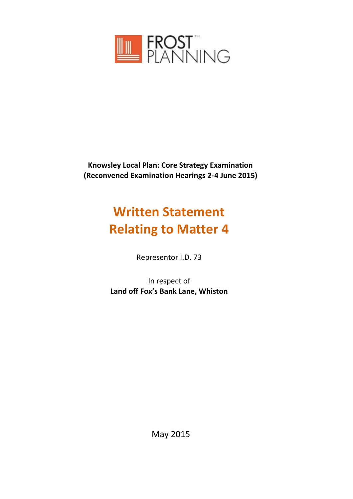

**Knowsley Local Plan: Core Strategy Examination (Reconvened Examination Hearings 2-4 June 2015)**

# **Written Statement Relating to Matter 4**

Representor I.D. 73

In respect of **Land off Fox's Bank Lane, Whiston** 

May 2015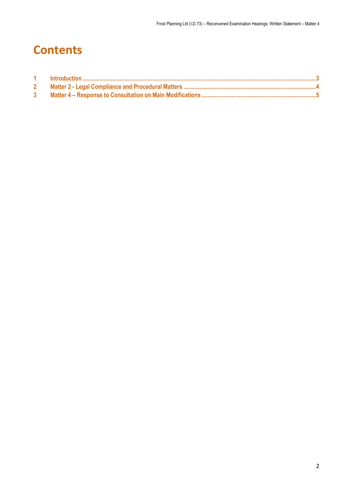# **Contents**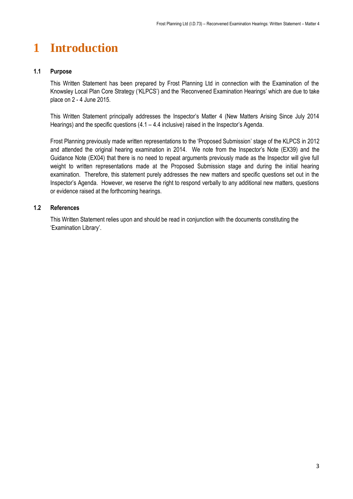## <span id="page-2-0"></span>**1 Introduction**

#### **1.1 Purpose**

This Written Statement has been prepared by Frost Planning Ltd in connection with the Examination of the Knowsley Local Plan Core Strategy ('KLPCS') and the 'Reconvened Examination Hearings' which are due to take place on 2 - 4 June 2015.

This Written Statement principally addresses the Inspector's Matter 4 (New Matters Arising Since July 2014 Hearings) and the specific questions (4.1 – 4.4 inclusive) raised in the Inspector's Agenda.

Frost Planning previously made written representations to the 'Proposed Submission' stage of the KLPCS in 2012 and attended the original hearing examination in 2014. We note from the Inspector's Note (EX39) and the Guidance Note (EX04) that there is no need to repeat arguments previously made as the Inspector will give full weight to written representations made at the Proposed Submission stage and during the initial hearing examination. Therefore, this statement purely addresses the new matters and specific questions set out in the Inspector's Agenda. However, we reserve the right to respond verbally to any additional new matters, questions or evidence raised at the forthcoming hearings.

#### **1.2 References**

This Written Statement relies upon and should be read in conjunction with the documents constituting the 'Examination Library'.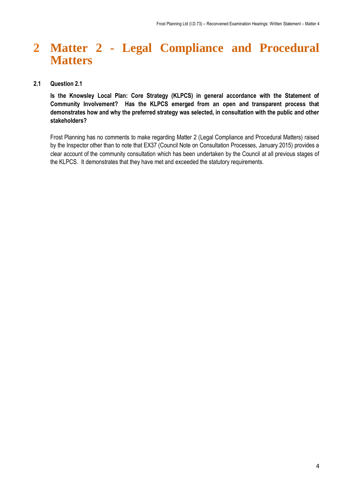### <span id="page-3-0"></span>**2 Matter 2 - Legal Compliance and Procedural Matters**

#### **2.1 Question 2.1**

**Is the Knowsley Local Plan: Core Strategy (KLPCS) in general accordance with the Statement of Community Involvement? Has the KLPCS emerged from an open and transparent process that demonstrates how and why the preferred strategy was selected, in consultation with the public and other stakeholders?**

Frost Planning has no comments to make regarding Matter 2 (Legal Compliance and Procedural Matters) raised by the Inspector other than to note that EX37 (Council Note on Consultation Processes, January 2015) provides a clear account of the community consultation which has been undertaken by the Council at all previous stages of the KLPCS. It demonstrates that they have met and exceeded the statutory requirements.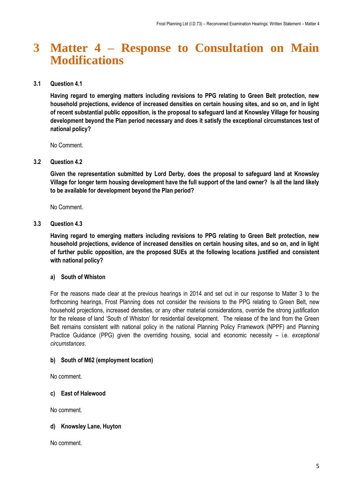### <span id="page-4-0"></span>**3 Matter 4 – Response to Consultation on Main Modifications**

#### **3.1 Question 4.1**

**Having regard to emerging matters including revisions to PPG relating to Green Belt protection, new household projections, evidence of increased densities on certain housing sites, and so on, and in light of recent substantial public opposition, is the proposal to safeguard land at Knowsley Village for housing development beyond the Plan period necessary and does it satisfy the exceptional circumstances test of national policy?** 

No Comment.

#### **3.2 Question 4.2**

**Given the representation submitted by Lord Derby, does the proposal to safeguard land at Knowsley Village for longer term housing development have the full support of the land owner? Is all the land likely to be available for development beyond the Plan period?** 

No Comment.

#### **3.3 Question 4.3**

**Having regard to emerging matters including revisions to PPG relating to Green Belt protection, new household projections, evidence of increased densities on certain housing sites, and so on, and in light of further public opposition, are the proposed SUEs at the following locations justified and consistent with national policy?** 

#### **a) South of Whiston**

For the reasons made clear at the previous hearings in 2014 and set out in our response to Matter 3 to the forthcoming hearings, Frost Planning does not consider the revisions to the PPG relating to Green Belt, new household projections, increased densities, or any other material considerations, override the strong justification for the release of land 'South of Whiston' for residential development. The release of the land from the Green Belt remains consistent with national policy in the national Planning Policy Framework (NPPF) and Planning Practice Guidance (PPG) given the overriding housing, social and economic necessity – i.e. *exceptional circumstances*.

#### **b) South of M62 (employment location)**

No comment.

#### **c) East of Halewood**

No comment.

#### **d) Knowsley Lane, Huyton**

No comment.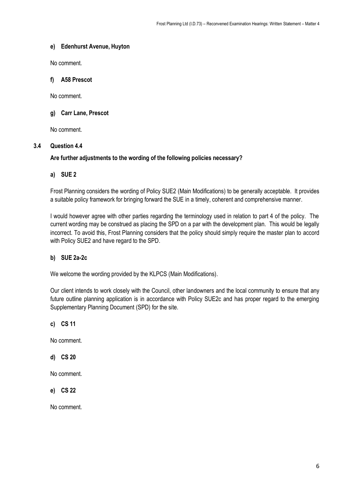#### **e) Edenhurst Avenue, Huyton**

No comment.

#### **f) A58 Prescot**

No comment.

#### **g) Carr Lane, Prescot**

No comment.

#### **3.4 Question 4.4**

#### **Are further adjustments to the wording of the following policies necessary?**

#### **a) SUE 2**

Frost Planning considers the wording of Policy SUE2 (Main Modifications) to be generally acceptable. It provides a suitable policy framework for bringing forward the SUE in a timely, coherent and comprehensive manner.

I would however agree with other parties regarding the terminology used in relation to part 4 of the policy. The current wording may be construed as placing the SPD on a par with the development plan. This would be legally incorrect. To avoid this, Frost Planning considers that the policy should simply require the master plan to accord with Policy SUE2 and have regard to the SPD.

#### **b) SUE 2a-2c**

We welcome the wording provided by the KLPCS (Main Modifications).

Our client intends to work closely with the Council, other landowners and the local community to ensure that any future outline planning application is in accordance with Policy SUE2c and has proper regard to the emerging Supplementary Planning Document (SPD) for the site.

**c) CS 11** 

No comment.

**d) CS 20** 

No comment.

**e) CS 22**

No comment.